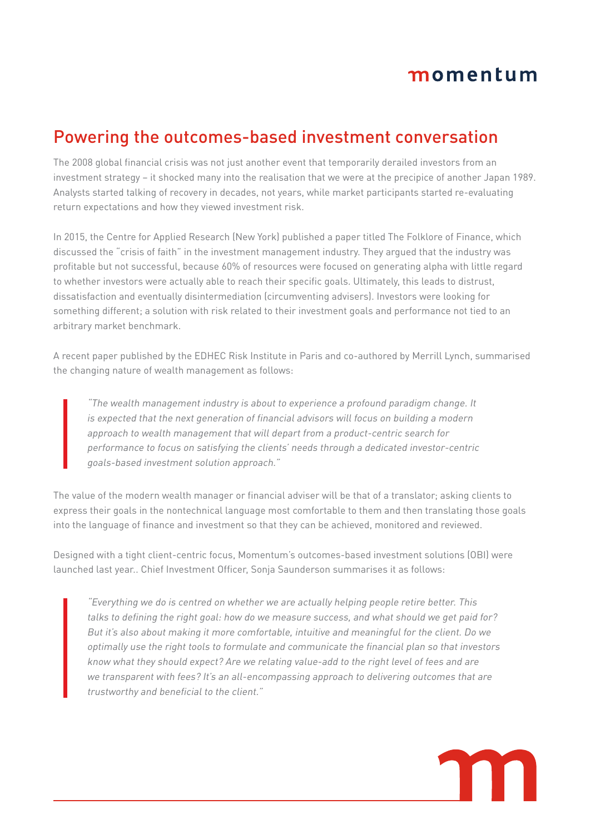## momentum

## Powering the outcomes-based investment conversation

The 2008 global financial crisis was not just another event that temporarily derailed investors from an investment strategy – it shocked many into the realisation that we were at the precipice of another Japan 1989. Analysts started talking of recovery in decades, not years, while market participants started re-evaluating return expectations and how they viewed investment risk.

In 2015, the Centre for Applied Research (New York) published a paper titled The Folklore of Finance, which discussed the "crisis of faith" in the investment management industry. They argued that the industry was profitable but not successful, because 60% of resources were focused on generating alpha with little regard to whether investors were actually able to reach their specific goals. Ultimately, this leads to distrust, dissatisfaction and eventually disintermediation (circumventing advisers). Investors were looking for something different; a solution with risk related to their investment goals and performance not tied to an arbitrary market benchmark.

A recent paper published by the EDHEC Risk Institute in Paris and co-authored by Merrill Lynch, summarised the changing nature of wealth management as follows:

"The wealth management industry is about to experience a profound paradigm change. It is expected that the next generation of financial advisors will focus on building a modern approach to wealth management that will depart from a product-centric search for performance to focus on satisfying the clients' needs through a dedicated investor-centric goals-based investment solution approach."

The value of the modern wealth manager or financial adviser will be that of a translator; asking clients to express their goals in the nontechnical language most comfortable to them and then translating those goals into the language of finance and investment so that they can be achieved, monitored and reviewed.

Designed with a tight client-centric focus, Momentum's outcomes-based investment solutions (OBI) were launched last year.. Chief Investment Officer, Sonja Saunderson summarises it as follows:

"Everything we do is centred on whether we are actually helping people retire better. This talks to defining the right goal: how do we measure success, and what should we get paid for? But it's also about making it more comfortable, intuitive and meaningful for the client. Do we optimally use the right tools to formulate and communicate the financial plan so that investors know what they should expect? Are we relating value-add to the right level of fees and are we transparent with fees? It's an all-encompassing approach to delivering outcomes that are trustworthy and beneficial to the client."